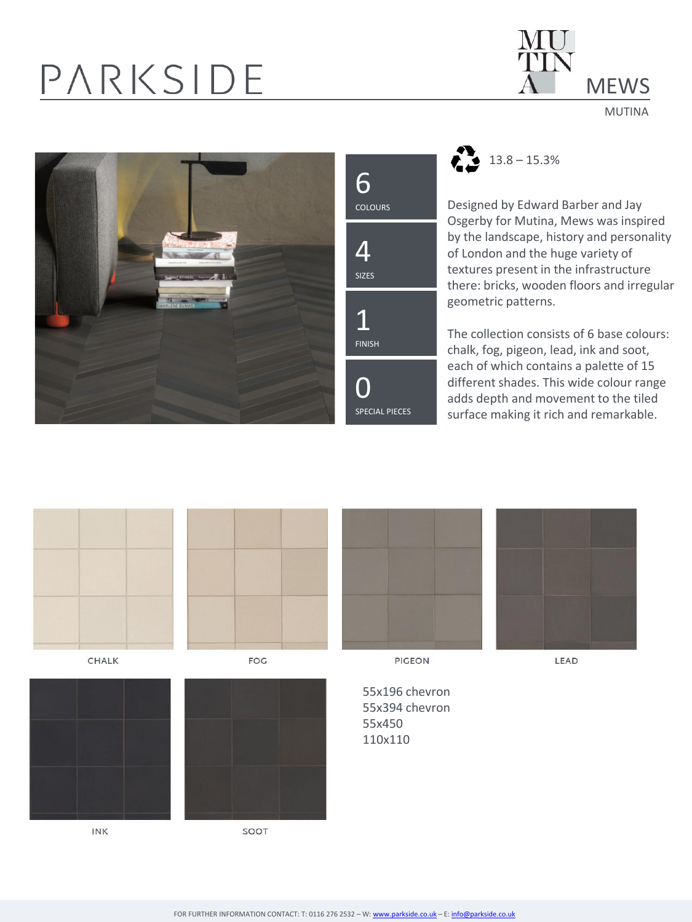## PARKSIDE



MUTINA





 $23.8 - 15.3\%$ 

Designed by Edward Barber and Jay Osgerby for Mutina, Mews was inspired by the landscape, history and personality of London and the huge variety of textures present in the infrastructure there: bricks, wooden floors and irregular geometric patterns.

The collection consists of 6 base colours: chalk, fog, pigeon, lead, ink and soot, each of which contains a palette of 15 different shades. This wide colour range adds depth and movement to the tiled surface making it rich and remarkable.